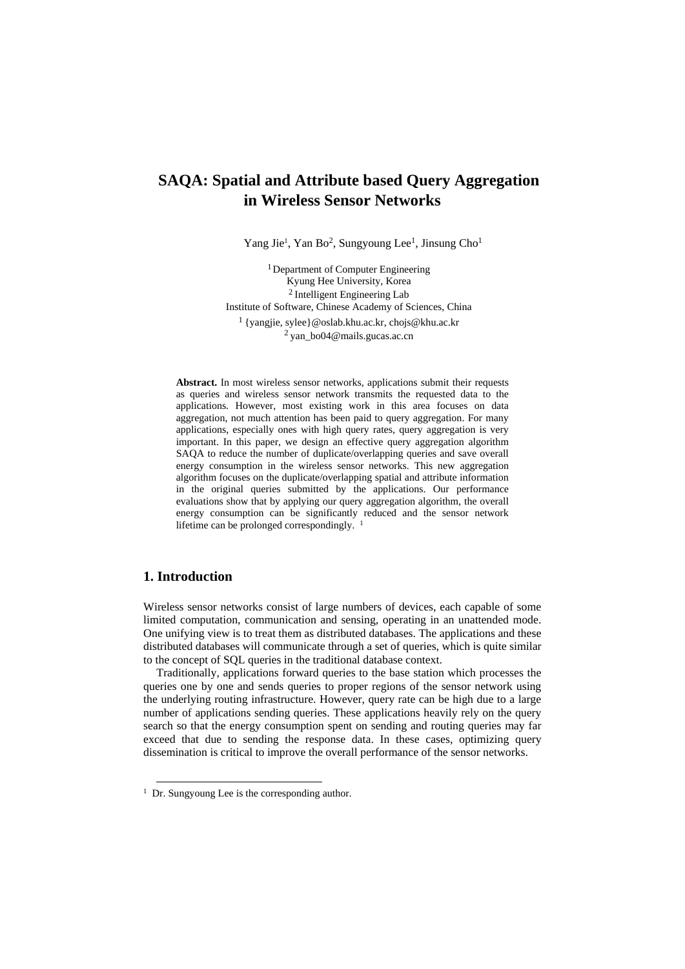# **SAQA: Spatial and Attribute based Query Aggregation in Wireless Sensor Networks**

Yang Jie<sup>1</sup>, Yan Bo<sup>2</sup>, Sungyoung Lee<sup>1</sup>, Jinsung Cho<sup>1</sup>

<sup>1</sup> Department of Computer Engineering Kyung Hee University, Korea 2 Intelligent Engineering Lab Institute of Software, Chinese Academy of Sciences, China 1 {yangjie, sylee}@oslab.khu.ac.kr, chojs@khu.ac.kr 2 yan\_bo04@mails.gucas.ac.cn

**Abstract.** In most wireless sensor networks, applications submit their requests as queries and wireless sensor network transmits the requested data to the applications. However, most existing work in this area focuses on data aggregation, not much attention has been paid to query aggregation. For many applications, especially ones with high query rates, query aggregation is very important. In this paper, we design an effective query aggregation algorithm SAQA to reduce the number of duplicate/overlapping queries and save overall energy consumption in the wireless sensor networks. This new aggregation algorithm focuses on the duplicate/overlapping spatial and attribute information in the original queries submitted by the applications. Our performance evaluations show that by applying our query aggregation algorithm, the overall energy consumption can be significantly reduced and the sensor network lifetime can be prolonged correspondingly.  $1$ 

## **1. Introduction**

Wireless sensor networks consist of large numbers of devices, each capable of some limited computation, communication and sensing, operating in an unattended mode. One unifying view is to treat them as distributed databases. The applications and these distributed databases will communicate through a set of queries, which is quite similar to the concept of SQL queries in the traditional database context.

Traditionally, applications forward queries to the base station which processes the queries one by one and sends queries to proper regions of the sensor network using the underlying routing infrastructure. However, query rate can be high due to a large number of applications sending queries. These applications heavily rely on the query search so that the energy consumption spent on sending and routing queries may far exceed that due to sending the response data. In these cases, optimizing query dissemination is critical to improve the overall performance of the sensor networks.

 $<sup>1</sup>$  Dr. Sungyoung Lee is the corresponding author.</sup>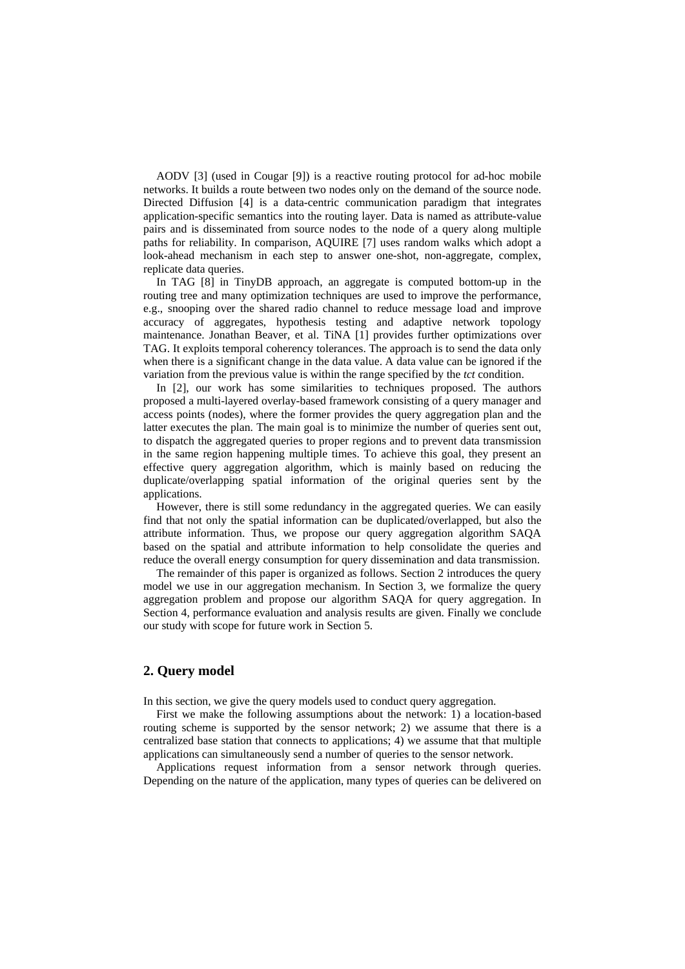AODV [3] (used in Cougar [9]) is a reactive routing protocol for ad-hoc mobile networks. It builds a route between two nodes only on the demand of the source node. Directed Diffusion [4] is a data-centric communication paradigm that integrates application-specific semantics into the routing layer. Data is named as attribute-value pairs and is disseminated from source nodes to the node of a query along multiple paths for reliability. In comparison, AQUIRE [7] uses random walks which adopt a look-ahead mechanism in each step to answer one-shot, non-aggregate, complex, replicate data queries.

In TAG [8] in TinyDB approach, an aggregate is computed bottom-up in the routing tree and many optimization techniques are used to improve the performance, e.g., snooping over the shared radio channel to reduce message load and improve accuracy of aggregates, hypothesis testing and adaptive network topology maintenance. Jonathan Beaver, et al. TiNA [1] provides further optimizations over TAG. It exploits temporal coherency tolerances. The approach is to send the data only when there is a significant change in the data value. A data value can be ignored if the variation from the previous value is within the range specified by the *tct* condition.

In [2], our work has some similarities to techniques proposed. The authors proposed a multi-layered overlay-based framework consisting of a query manager and access points (nodes), where the former provides the query aggregation plan and the latter executes the plan. The main goal is to minimize the number of queries sent out, to dispatch the aggregated queries to proper regions and to prevent data transmission in the same region happening multiple times. To achieve this goal, they present an effective query aggregation algorithm, which is mainly based on reducing the duplicate/overlapping spatial information of the original queries sent by the applications.

However, there is still some redundancy in the aggregated queries. We can easily find that not only the spatial information can be duplicated/overlapped, but also the attribute information. Thus, we propose our query aggregation algorithm SAQA based on the spatial and attribute information to help consolidate the queries and reduce the overall energy consumption for query dissemination and data transmission.

The remainder of this paper is organized as follows. Section 2 introduces the query model we use in our aggregation mechanism. In Section 3, we formalize the query aggregation problem and propose our algorithm SAQA for query aggregation. In Section 4, performance evaluation and analysis results are given. Finally we conclude our study with scope for future work in Section 5.

#### **2. Query model**

In this section, we give the query models used to conduct query aggregation.

First we make the following assumptions about the network: 1) a location-based routing scheme is supported by the sensor network; 2) we assume that there is a centralized base station that connects to applications; 4) we assume that that multiple applications can simultaneously send a number of queries to the sensor network.

Applications request information from a sensor network through queries. Depending on the nature of the application, many types of queries can be delivered on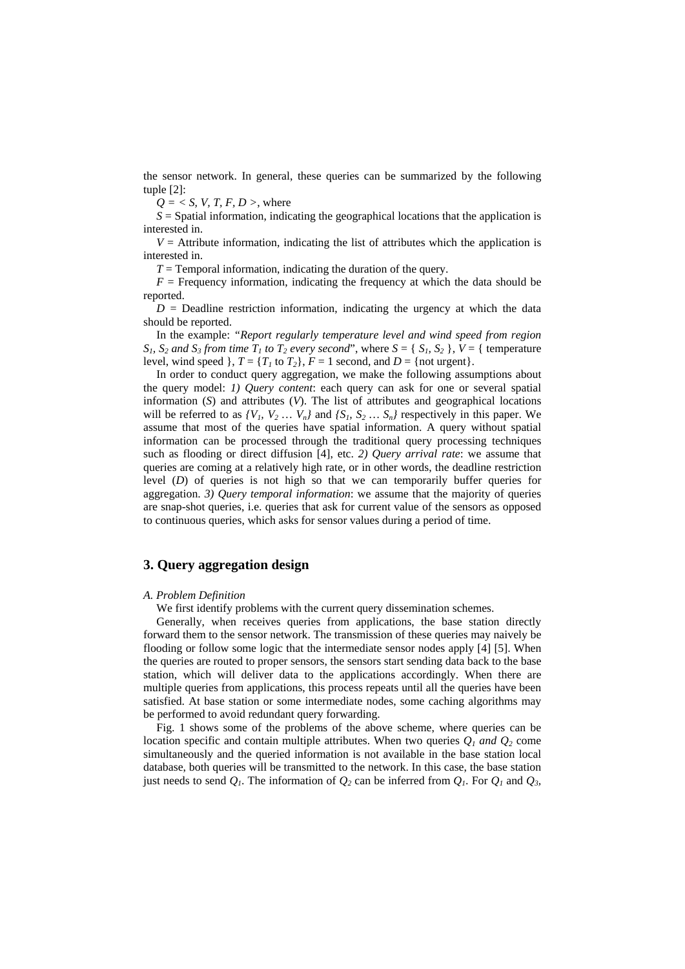the sensor network. In general, these queries can be summarized by the following tuple [2]:

 $Q = \langle S, V, T, F, D \rangle$ , where

*S* = Spatial information, indicating the geographical locations that the application is interested in.

 $V =$  Attribute information, indicating the list of attributes which the application is interested in.

 $T =$  Temporal information, indicating the duration of the query.

 $F =$  Frequency information, indicating the frequency at which the data should be reported.

 $D =$  Deadline restriction information, indicating the urgency at which the data should be reported.

In the example: *"Report regularly temperature level and wind speed from region*   $S_1$ ,  $S_2$  and  $S_3$  from time  $T_1$  to  $T_2$  every second<sup>"</sup>, where  $S = \{S_1, S_2\}$ ,  $V = \{$  temperature level, wind speed  $\}$ ,  $T = \{T_1 \text{ to } T_2\}$ ,  $F = 1$  second, and  $D = \{\text{not urgent}\}.$ 

In order to conduct query aggregation, we make the following assumptions about the query model: *1) Query content*: each query can ask for one or several spatial information (*S*) and attributes (*V*). The list of attributes and geographical locations will be referred to as  $\{V_1, V_2, \ldots, V_n\}$  and  $\{S_1, S_2, \ldots, S_n\}$  respectively in this paper. We assume that most of the queries have spatial information. A query without spatial information can be processed through the traditional query processing techniques such as flooding or direct diffusion [4], etc. *2) Query arrival rate*: we assume that queries are coming at a relatively high rate, or in other words, the deadline restriction level (*D*) of queries is not high so that we can temporarily buffer queries for aggregation. *3) Query temporal information*: we assume that the majority of queries are snap-shot queries, i.e. queries that ask for current value of the sensors as opposed to continuous queries, which asks for sensor values during a period of time.

### **3. Query aggregation design**

#### *A. Problem Definition*

We first identify problems with the current query dissemination schemes.

Generally, when receives queries from applications, the base station directly forward them to the sensor network. The transmission of these queries may naively be flooding or follow some logic that the intermediate sensor nodes apply [4] [5]. When the queries are routed to proper sensors, the sensors start sending data back to the base station, which will deliver data to the applications accordingly. When there are multiple queries from applications, this process repeats until all the queries have been satisfied. At base station or some intermediate nodes, some caching algorithms may be performed to avoid redundant query forwarding.

Fig. 1 shows some of the problems of the above scheme, where queries can be location specific and contain multiple attributes. When two queries  $Q_1$  and  $Q_2$  come simultaneously and the queried information is not available in the base station local database, both queries will be transmitted to the network. In this case, the base station just needs to send  $Q_1$ . The information of  $Q_2$  can be inferred from  $Q_1$ . For  $Q_1$  and  $Q_3$ ,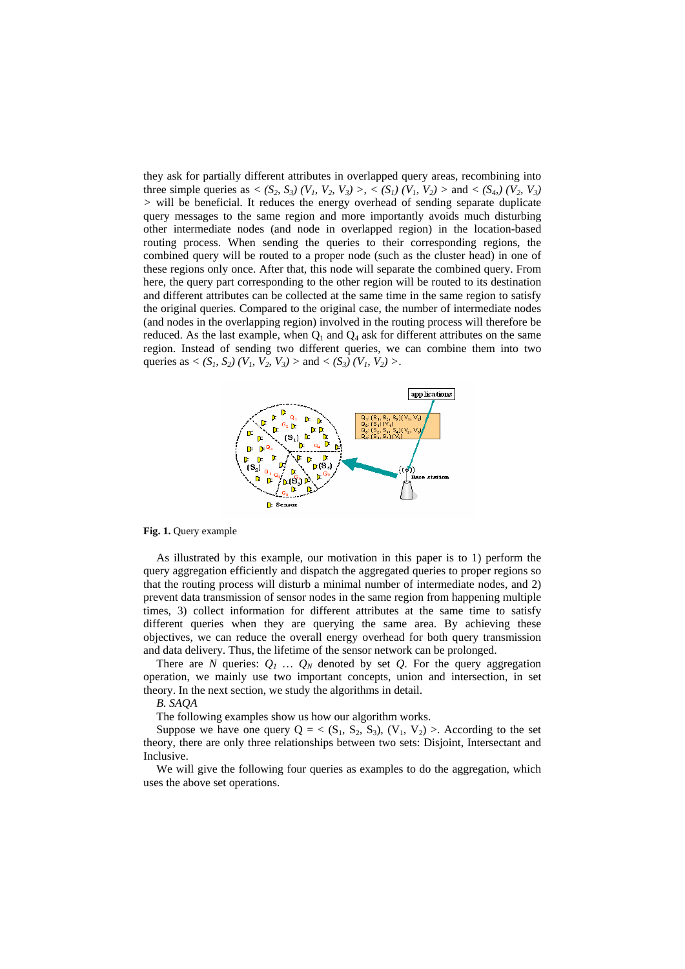they ask for partially different attributes in overlapped query areas, recombining into three simple queries as  $\langle (S_2, S_3) (V_1, V_2, V_3) \rangle$ ,  $\langle (S_1) (V_1, V_2) \rangle$  and  $\langle (S_4) (V_2, V_3) \rangle$ *>* will be beneficial. It reduces the energy overhead of sending separate duplicate query messages to the same region and more importantly avoids much disturbing other intermediate nodes (and node in overlapped region) in the location-based routing process. When sending the queries to their corresponding regions, the combined query will be routed to a proper node (such as the cluster head) in one of these regions only once. After that, this node will separate the combined query. From here, the query part corresponding to the other region will be routed to its destination and different attributes can be collected at the same time in the same region to satisfy the original queries. Compared to the original case, the number of intermediate nodes (and nodes in the overlapping region) involved in the routing process will therefore be reduced. As the last example, when  $Q_1$  and  $Q_4$  ask for different attributes on the same region. Instead of sending two different queries, we can combine them into two queries as  $\langle S_1, S_2 \rangle$  (V<sub>1</sub>, V<sub>2</sub>, V<sub>3</sub>)  $>$  and  $\langle S_3 \rangle$  (V<sub>1</sub>, V<sub>2</sub>)  $>$ .



**Fig. 1.** Query example

As illustrated by this example, our motivation in this paper is to 1) perform the query aggregation efficiently and dispatch the aggregated queries to proper regions so that the routing process will disturb a minimal number of intermediate nodes, and 2) prevent data transmission of sensor nodes in the same region from happening multiple times, 3) collect information for different attributes at the same time to satisfy different queries when they are querying the same area. By achieving these objectives, we can reduce the overall energy overhead for both query transmission and data delivery. Thus, the lifetime of the sensor network can be prolonged.

There are *N* queries:  $Q_1$  ...  $Q_N$  denoted by set  $Q$ . For the query aggregation operation, we mainly use two important concepts, union and intersection, in set theory. In the next section, we study the algorithms in detail.

*B. SAQA* 

The following examples show us how our algorithm works.

Suppose we have one query  $Q = \langle S_1, S_2, S_3 \rangle$ ,  $(V_1, V_2) >$ . According to the set theory, there are only three relationships between two sets: Disjoint, Intersectant and Inclusive.

We will give the following four queries as examples to do the aggregation, which uses the above set operations.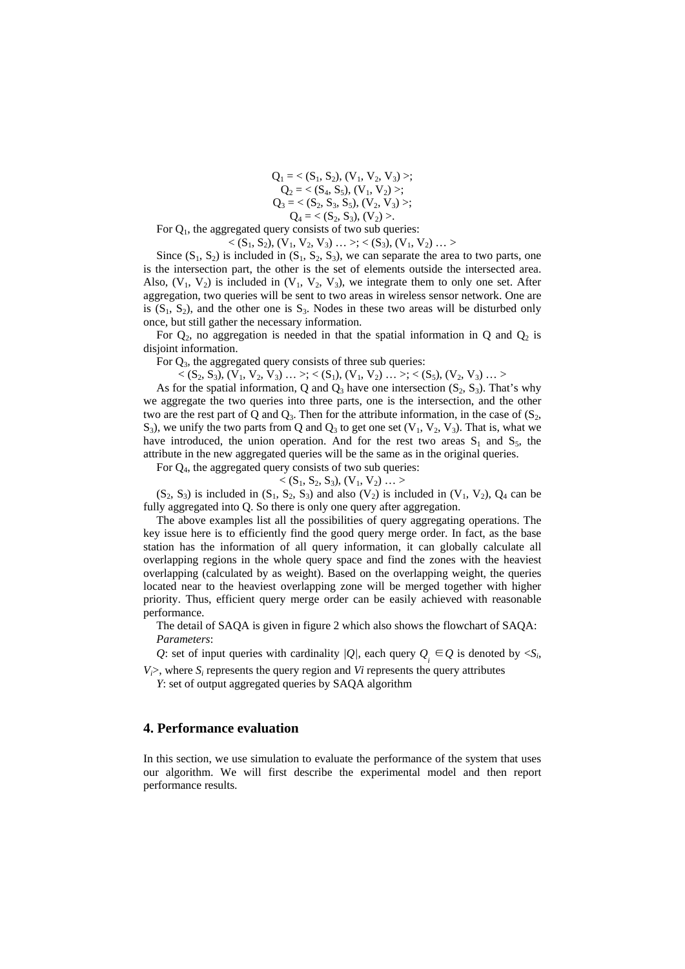$Q_1 = \langle (S_1, S_2), (V_1, V_2, V_3) \rangle;$  $Q_2 = \langle (S_4, S_5), (V_1, V_2) \rangle;$  $Q_3 = \langle (S_2, S_3, S_5), (V_2, V_3) \rangle;$  $Q_4 = \langle (S_2, S_3), (V_2) \rangle.$ 

For  $Q_1$ , the aggregated query consists of two sub queries:

 $\langle S_1, S_2), (V_1, V_2, V_3), \ldots \rangle$ ;  $\langle S_3, (V_1, V_2), \ldots \rangle$ 

Since  $(S_1, S_2)$  is included in  $(S_1, S_2, S_3)$ , we can separate the area to two parts, one is the intersection part, the other is the set of elements outside the intersected area. Also,  $(V_1, V_2)$  is included in  $(V_1, V_2, V_3)$ , we integrate them to only one set. After aggregation, two queries will be sent to two areas in wireless sensor network. One are is  $(S_1, S_2)$ , and the other one is  $S_3$ . Nodes in these two areas will be disturbed only once, but still gather the necessary information.

For  $Q_2$ , no aggregation is needed in that the spatial information in Q and  $Q_2$  is disjoint information.

For  $O_3$ , the aggregated query consists of three sub queries:

 $\langle (S_2, S_3), (V_1, V_2, V_3), \ldots \rangle$ ;  $\langle (S_1), (V_1, V_2), \ldots \rangle$ ;  $\langle (S_5), (V_2, V_3), \ldots \rangle$ 

As for the spatial information, Q and  $Q_3$  have one intersection  $(S_2, S_3)$ . That's why we aggregate the two queries into three parts, one is the intersection, and the other two are the rest part of Q and  $Q_3$ . Then for the attribute information, in the case of  $(S_2,$  $S_3$ ), we unify the two parts from Q and  $Q_3$  to get one set  $(V_1, V_2, V_3)$ . That is, what we have introduced, the union operation. And for the rest two areas  $S_1$  and  $S_5$ , the attribute in the new aggregated queries will be the same as in the original queries.

For Q4, the aggregated query consists of two sub queries:

 $\langle S_1, S_2, S_3\rangle$ ,  $(V_1, V_2)$  ... >

 $(S_2, S_3)$  is included in  $(S_1, S_2, S_3)$  and also  $(V_2)$  is included in  $(V_1, V_2)$ ,  $Q_4$  can be fully aggregated into Q. So there is only one query after aggregation.

The above examples list all the possibilities of query aggregating operations. The key issue here is to efficiently find the good query merge order. In fact, as the base station has the information of all query information, it can globally calculate all overlapping regions in the whole query space and find the zones with the heaviest overlapping (calculated by as weight). Based on the overlapping weight, the queries located near to the heaviest overlapping zone will be merged together with higher priority. Thus, efficient query merge order can be easily achieved with reasonable performance.

The detail of SAQA is given in figure 2 which also shows the flowchart of SAQA: *Parameters*:

*Q*: set of input queries with cardinality *|Q|*, each query  $Q_i \in Q$  is denoted by  $\langle S_i, \rangle$ 

 $V_i$ , where  $S_i$  represents the query region and *Vi* represents the query attributes *Y*: set of output aggregated queries by SAQA algorithm

# **4. Performance evaluation**

In this section, we use simulation to evaluate the performance of the system that uses our algorithm. We will first describe the experimental model and then report performance results.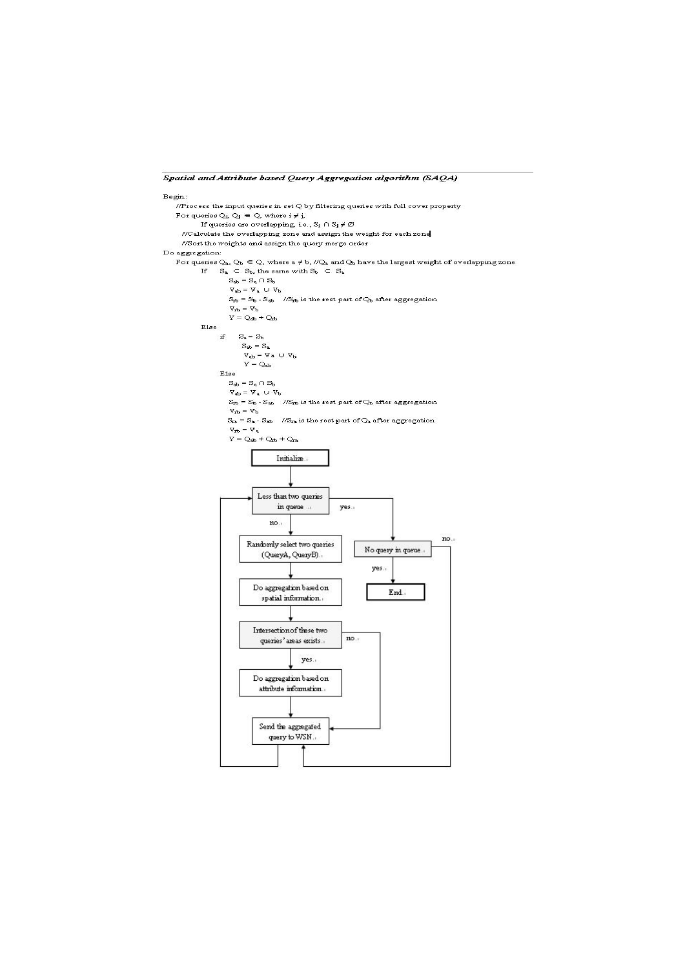Spatial and Attribute based Query Aggregation algorithm (SAQA)

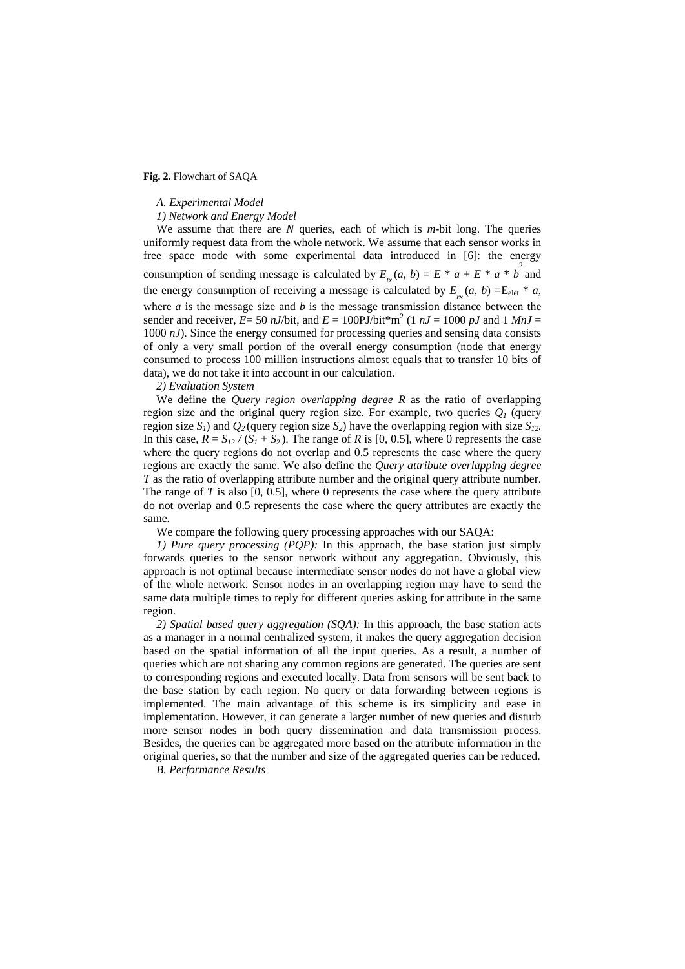**Fig. 2.** Flowchart of SAQA

#### *A. Experimental Model*

*1) Network and Energy Model* 

We assume that there are *N* queries, each of which is *m*-bit long. The queries uniformly request data from the whole network. We assume that each sensor works in free space mode with some experimental data introduced in [6]: the energy consumption of sending message is calculated by  $E_{tx}(a, b) = E * a + E * a * b^2$  and the energy consumption of receiving a message is calculated by  $E_{r}(a, b) = E_{\text{elet}} * a$ , where  $a$  is the message size and  $b$  is the message transmission distance between the sender and receiver,  $\vec{E} = 50 \text{ nJ/b}$ it, and  $\vec{E} = 100$ PJ/bit<sup>\*</sup>m<sup>2</sup> (1  $nJ = 1000 \text{ pJ}$  and 1  $MnJ =$ 1000 *nJ*). Since the energy consumed for processing queries and sensing data consists of only a very small portion of the overall energy consumption (node that energy consumed to process 100 million instructions almost equals that to transfer 10 bits of data), we do not take it into account in our calculation.

*2) Evaluation System* 

We define the *Query region overlapping degree R* as the ratio of overlapping region size and the original query region size. For example, two queries  $Q<sub>1</sub>$  (query region size  $S_1$ ) and  $Q_2$  (query region size  $S_2$ ) have the overlapping region with size  $S_{12}$ . In this case,  $R = S_{12} / (S_1 + S_2)$ . The range of *R* is [0, 0.5], where 0 represents the case where the query regions do not overlap and 0.5 represents the case where the query regions are exactly the same. We also define the *Query attribute overlapping degree T* as the ratio of overlapping attribute number and the original query attribute number. The range of  $T$  is also  $[0, 0.5]$ , where 0 represents the case where the query attribute do not overlap and 0.5 represents the case where the query attributes are exactly the same.

We compare the following query processing approaches with our SAQA:

*1) Pure query processing (PQP):* In this approach, the base station just simply forwards queries to the sensor network without any aggregation. Obviously, this approach is not optimal because intermediate sensor nodes do not have a global view of the whole network. Sensor nodes in an overlapping region may have to send the same data multiple times to reply for different queries asking for attribute in the same region.

*2) Spatial based query aggregation (SQA):* In this approach, the base station acts as a manager in a normal centralized system, it makes the query aggregation decision based on the spatial information of all the input queries. As a result, a number of queries which are not sharing any common regions are generated. The queries are sent to corresponding regions and executed locally. Data from sensors will be sent back to the base station by each region. No query or data forwarding between regions is implemented. The main advantage of this scheme is its simplicity and ease in implementation. However, it can generate a larger number of new queries and disturb more sensor nodes in both query dissemination and data transmission process. Besides, the queries can be aggregated more based on the attribute information in the original queries, so that the number and size of the aggregated queries can be reduced.

*B. Performance Results*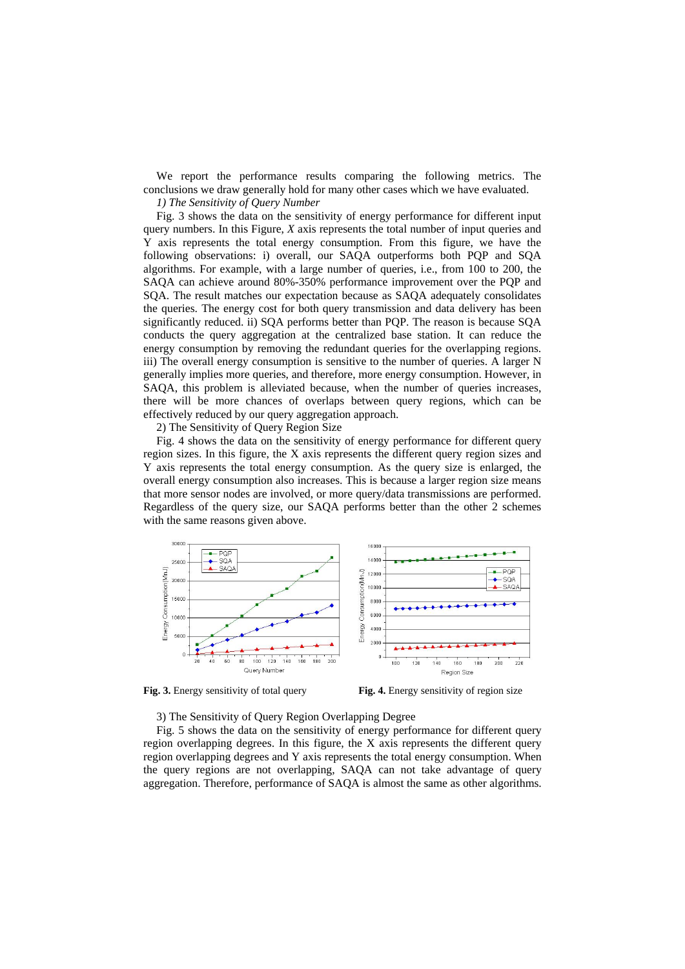We report the performance results comparing the following metrics. The conclusions we draw generally hold for many other cases which we have evaluated.

*1) The Sensitivity of Query Number* 

Fig. 3 shows the data on the sensitivity of energy performance for different input query numbers. In this Figure, *X* axis represents the total number of input queries and Y axis represents the total energy consumption. From this figure, we have the following observations: i) overall, our SAQA outperforms both PQP and SQA algorithms. For example, with a large number of queries, i.e., from 100 to 200, the SAQA can achieve around 80%-350% performance improvement over the PQP and SQA. The result matches our expectation because as SAQA adequately consolidates the queries. The energy cost for both query transmission and data delivery has been significantly reduced. ii) SQA performs better than PQP. The reason is because SQA conducts the query aggregation at the centralized base station. It can reduce the energy consumption by removing the redundant queries for the overlapping regions. iii) The overall energy consumption is sensitive to the number of queries. A larger N generally implies more queries, and therefore, more energy consumption. However, in SAQA, this problem is alleviated because, when the number of queries increases, there will be more chances of overlaps between query regions, which can be effectively reduced by our query aggregation approach.

2) The Sensitivity of Query Region Size

Fig. 4 shows the data on the sensitivity of energy performance for different query region sizes. In this figure, the X axis represents the different query region sizes and Y axis represents the total energy consumption. As the query size is enlarged, the overall energy consumption also increases. This is because a larger region size means that more sensor nodes are involved, or more query/data transmissions are performed. Regardless of the query size, our SAQA performs better than the other 2 schemes with the same reasons given above.



**Fig. 3.** Energy sensitivity of total query **Fig. 4.** Energy sensitivity of region size

3) The Sensitivity of Query Region Overlapping Degree

Fig. 5 shows the data on the sensitivity of energy performance for different query region overlapping degrees. In this figure, the X axis represents the different query region overlapping degrees and Y axis represents the total energy consumption. When the query regions are not overlapping, SAQA can not take advantage of query aggregation. Therefore, performance of SAQA is almost the same as other algorithms.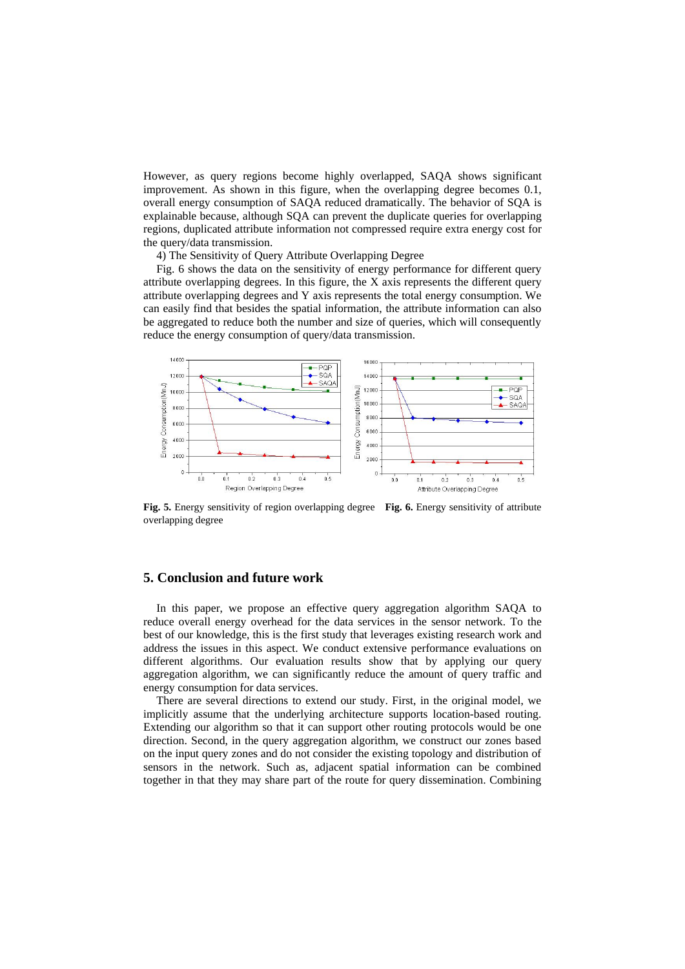However, as query regions become highly overlapped, SAQA shows significant improvement. As shown in this figure, when the overlapping degree becomes 0.1, overall energy consumption of SAQA reduced dramatically. The behavior of SQA is explainable because, although SQA can prevent the duplicate queries for overlapping regions, duplicated attribute information not compressed require extra energy cost for the query/data transmission.

4) The Sensitivity of Query Attribute Overlapping Degree

Fig. 6 shows the data on the sensitivity of energy performance for different query attribute overlapping degrees. In this figure, the X axis represents the different query attribute overlapping degrees and Y axis represents the total energy consumption. We can easily find that besides the spatial information, the attribute information can also be aggregated to reduce both the number and size of queries, which will consequently reduce the energy consumption of query/data transmission.



**Fig. 5.** Energy sensitivity of region overlapping degree **Fig. 6.** Energy sensitivity of attribute overlapping degree

### **5. Conclusion and future work**

In this paper, we propose an effective query aggregation algorithm SAQA to reduce overall energy overhead for the data services in the sensor network. To the best of our knowledge, this is the first study that leverages existing research work and address the issues in this aspect. We conduct extensive performance evaluations on different algorithms. Our evaluation results show that by applying our query aggregation algorithm, we can significantly reduce the amount of query traffic and energy consumption for data services.

There are several directions to extend our study. First, in the original model, we implicitly assume that the underlying architecture supports location-based routing. Extending our algorithm so that it can support other routing protocols would be one direction. Second, in the query aggregation algorithm, we construct our zones based on the input query zones and do not consider the existing topology and distribution of sensors in the network. Such as, adjacent spatial information can be combined together in that they may share part of the route for query dissemination. Combining